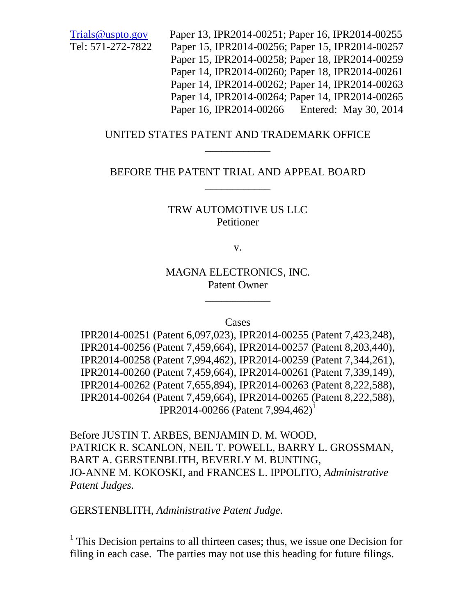Trials@uspto.gov Paper 13, IPR2014-00251; Paper 16, IPR2014-00255 Tel: 571-272-7822 Paper 15, IPR2014-00256; Paper 15, IPR2014-00257 Paper 15, IPR2014-00258; Paper 18, IPR2014-00259 Paper 14, IPR2014-00260; Paper 18, IPR2014-00261 Paper 14, IPR2014-00262; Paper 14, IPR2014-00263 Paper 14, IPR2014-00264; Paper 14, IPR2014-00265 Paper 16, IPR2014-00266 Entered: May 30, 2014

### UNITED STATES PATENT AND TRADEMARK OFFICE \_\_\_\_\_\_\_\_\_\_\_\_

## BEFORE THE PATENT TRIAL AND APPEAL BOARD \_\_\_\_\_\_\_\_\_\_\_\_

### TRW AUTOMOTIVE US LLC Petitioner

v.

MAGNA ELECTRONICS, INC. Patent Owner

\_\_\_\_\_\_\_\_\_\_\_\_

Cases

IPR2014-00251 (Patent 6,097,023), IPR2014-00255 (Patent 7,423,248), IPR2014-00256 (Patent 7,459,664), IPR2014-00257 (Patent 8,203,440), IPR2014-00258 (Patent 7,994,462), IPR2014-00259 (Patent 7,344,261), IPR2014-00260 (Patent 7,459,664), IPR2014-00261 (Patent 7,339,149), IPR2014-00262 (Patent 7,655,894), IPR2014-00263 (Patent 8,222,588), IPR2014-00264 (Patent 7,459,664), IPR2014-00265 (Patent 8,222,588), IPR2014-00266 (Patent 7,994,462)<sup>1</sup>

Before JUSTIN T. ARBES, BENJAMIN D. M. WOOD, PATRICK R. SCANLON, NEIL T. POWELL, BARRY L. GROSSMAN, BART A. GERSTENBLITH, BEVERLY M. BUNTING, JO-ANNE M. KOKOSKI, and FRANCES L. IPPOLITO, *Administrative Patent Judges.*

GERSTENBLITH, *Administrative Patent Judge.*

<sup>&</sup>lt;sup>1</sup> This Decision pertains to all thirteen cases; thus, we issue one Decision for filing in each case. The parties may not use this heading for future filings.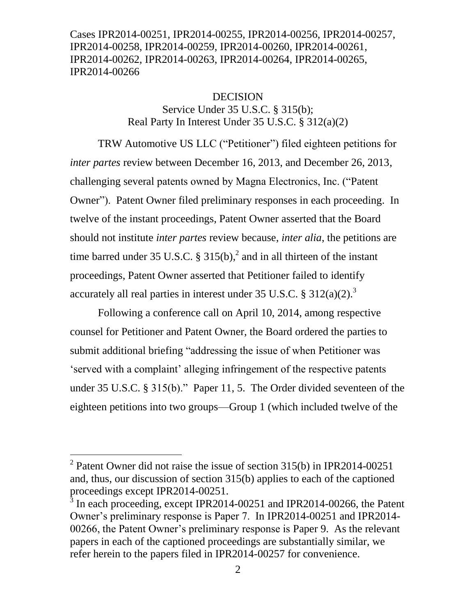#### **DECISION**

Service Under 35 U.S.C. § 315(b); Real Party In Interest Under 35 U.S.C. § 312(a)(2)

TRW Automotive US LLC ("Petitioner") filed eighteen petitions for *inter partes* review between December 16, 2013, and December 26, 2013, challenging several patents owned by Magna Electronics, Inc. ("Patent Owner"). Patent Owner filed preliminary responses in each proceeding. In twelve of the instant proceedings, Patent Owner asserted that the Board should not institute *inter partes* review because, *inter alia*, the petitions are time barred under 35 U.S.C. § 315(b),<sup>2</sup> and in all thirteen of the instant proceedings, Patent Owner asserted that Petitioner failed to identify accurately all real parties in interest under 35 U.S.C. §  $312(a)(2)$ .<sup>3</sup>

Following a conference call on April 10, 2014, among respective counsel for Petitioner and Patent Owner, the Board ordered the parties to submit additional briefing "addressing the issue of when Petitioner was 'served with a complaint' alleging infringement of the respective patents under 35 U.S.C. § 315(b)." Paper 11, 5. The Order divided seventeen of the eighteen petitions into two groups—Group 1 (which included twelve of the

l

<sup>&</sup>lt;sup>2</sup> Patent Owner did not raise the issue of section  $315(b)$  in IPR2014-00251 and, thus, our discussion of section 315(b) applies to each of the captioned proceedings except IPR2014-00251.

<sup>3</sup> In each proceeding, except IPR2014-00251 and IPR2014-00266, the Patent Owner's preliminary response is Paper 7. In IPR2014-00251 and IPR2014- 00266, the Patent Owner's preliminary response is Paper 9. As the relevant papers in each of the captioned proceedings are substantially similar, we refer herein to the papers filed in IPR2014-00257 for convenience.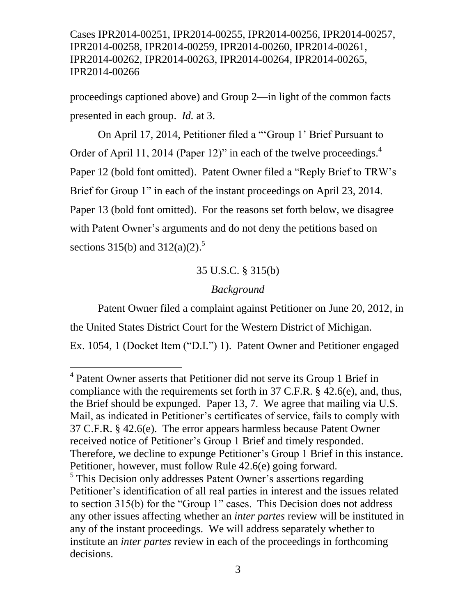proceedings captioned above) and Group 2—in light of the common facts presented in each group. *Id.* at 3.

On April 17, 2014, Petitioner filed a "'Group 1' Brief Pursuant to Order of April 11, 2014 (Paper 12)" in each of the twelve proceedings. $<sup>4</sup>$ </sup> Paper 12 (bold font omitted). Patent Owner filed a "Reply Brief to TRW's Brief for Group 1" in each of the instant proceedings on April 23, 2014. Paper 13 (bold font omitted). For the reasons set forth below, we disagree with Patent Owner's arguments and do not deny the petitions based on sections 315(b) and 312(a)(2).<sup>5</sup>

# 35 U.S.C. § 315(b)

### *Background*

Patent Owner filed a complaint against Petitioner on June 20, 2012, in the United States District Court for the Western District of Michigan. Ex. 1054, 1 (Docket Item ("D.I.") 1). Patent Owner and Petitioner engaged

<sup>&</sup>lt;sup>4</sup> Patent Owner asserts that Petitioner did not serve its Group 1 Brief in compliance with the requirements set forth in 37 C.F.R. § 42.6(e), and, thus, the Brief should be expunged. Paper 13, 7. We agree that mailing via U.S. Mail, as indicated in Petitioner's certificates of service, fails to comply with 37 C.F.R. § 42.6(e). The error appears harmless because Patent Owner received notice of Petitioner's Group 1 Brief and timely responded. Therefore, we decline to expunge Petitioner's Group 1 Brief in this instance. Petitioner, however, must follow Rule 42.6(e) going forward.

<sup>&</sup>lt;sup>5</sup> This Decision only addresses Patent Owner's assertions regarding Petitioner's identification of all real parties in interest and the issues related to section 315(b) for the "Group 1" cases. This Decision does not address any other issues affecting whether an *inter partes* review will be instituted in any of the instant proceedings. We will address separately whether to institute an *inter partes* review in each of the proceedings in forthcoming decisions.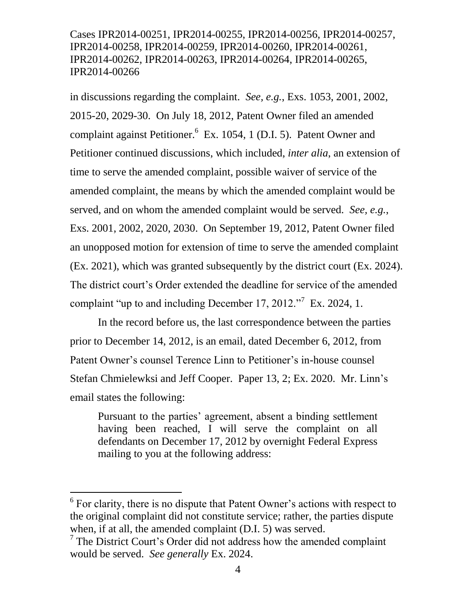in discussions regarding the complaint. *See, e.g.*, Exs. 1053, 2001, 2002, 2015-20, 2029-30. On July 18, 2012, Patent Owner filed an amended complaint against Petitioner.<sup>6</sup> Ex. 1054, 1 (D.I. 5). Patent Owner and Petitioner continued discussions, which included, *inter alia*, an extension of time to serve the amended complaint, possible waiver of service of the amended complaint, the means by which the amended complaint would be served, and on whom the amended complaint would be served. *See, e.g.*, Exs. 2001, 2002, 2020, 2030. On September 19, 2012, Patent Owner filed an unopposed motion for extension of time to serve the amended complaint (Ex. 2021), which was granted subsequently by the district court (Ex. 2024). The district court's Order extended the deadline for service of the amended complaint "up to and including December 17, 2012."<sup>7</sup> Ex. 2024, 1.

In the record before us, the last correspondence between the parties prior to December 14, 2012, is an email, dated December 6, 2012, from Patent Owner's counsel Terence Linn to Petitioner's in-house counsel Stefan Chmielewksi and Jeff Cooper. Paper 13, 2; Ex. 2020. Mr. Linn's email states the following:

Pursuant to the parties' agreement, absent a binding settlement having been reached, I will serve the complaint on all defendants on December 17, 2012 by overnight Federal Express mailing to you at the following address:

<sup>&</sup>lt;sup>6</sup> For clarity, there is no dispute that Patent Owner's actions with respect to the original complaint did not constitute service; rather, the parties dispute when, if at all, the amended complaint (D.I. 5) was served.

<sup>&</sup>lt;sup>7</sup> The District Court's Order did not address how the amended complaint would be served. *See generally* Ex. 2024.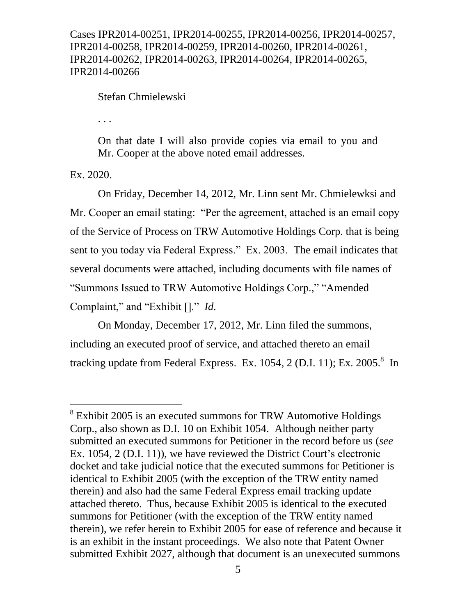Stefan Chmielewski

. . .

On that date I will also provide copies via email to you and Mr. Cooper at the above noted email addresses.

Ex. 2020.

l

On Friday, December 14, 2012, Mr. Linn sent Mr. Chmielewksi and Mr. Cooper an email stating: "Per the agreement, attached is an email copy of the Service of Process on TRW Automotive Holdings Corp. that is being sent to you today via Federal Express." Ex. 2003. The email indicates that several documents were attached, including documents with file names of "Summons Issued to TRW Automotive Holdings Corp.," "Amended Complaint," and "Exhibit []." *Id.*

On Monday, December 17, 2012, Mr. Linn filed the summons, including an executed proof of service, and attached thereto an email tracking update from Federal Express. Ex. 1054, 2 (D.I. 11); Ex. 2005. $8\,$  In

<sup>&</sup>lt;sup>8</sup> Exhibit 2005 is an executed summons for TRW Automotive Holdings Corp., also shown as D.I. 10 on Exhibit 1054. Although neither party submitted an executed summons for Petitioner in the record before us (*see*  Ex. 1054, 2 (D.I. 11)), we have reviewed the District Court's electronic docket and take judicial notice that the executed summons for Petitioner is identical to Exhibit 2005 (with the exception of the TRW entity named therein) and also had the same Federal Express email tracking update attached thereto. Thus, because Exhibit 2005 is identical to the executed summons for Petitioner (with the exception of the TRW entity named therein), we refer herein to Exhibit 2005 for ease of reference and because it is an exhibit in the instant proceedings. We also note that Patent Owner submitted Exhibit 2027, although that document is an unexecuted summons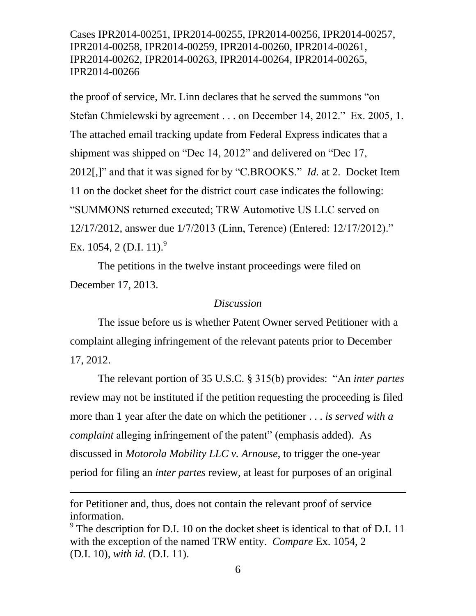the proof of service, Mr. Linn declares that he served the summons "on Stefan Chmielewski by agreement . . . on December 14, 2012." Ex. 2005, 1. The attached email tracking update from Federal Express indicates that a shipment was shipped on "Dec 14, 2012" and delivered on "Dec 17, 2012[,]" and that it was signed for by "C.BROOKS." *Id.* at 2. Docket Item 11 on the docket sheet for the district court case indicates the following: "SUMMONS returned executed; TRW Automotive US LLC served on 12/17/2012, answer due 1/7/2013 (Linn, Terence) (Entered: 12/17/2012)." Ex. 1054, 2 (D.I. 11).<sup>9</sup>

The petitions in the twelve instant proceedings were filed on December 17, 2013.

#### *Discussion*

The issue before us is whether Patent Owner served Petitioner with a complaint alleging infringement of the relevant patents prior to December 17, 2012.

The relevant portion of 35 U.S.C. § 315(b) provides: "An *inter partes*  review may not be instituted if the petition requesting the proceeding is filed more than 1 year after the date on which the petitioner . . . *is served with a complaint* alleging infringement of the patent" (emphasis added). As discussed in *Motorola Mobility LLC v. Arnouse*, to trigger the one-year period for filing an *inter partes* review, at least for purposes of an original

for Petitioner and, thus, does not contain the relevant proof of service information.

<sup>&</sup>lt;sup>9</sup> The description for D.I. 10 on the docket sheet is identical to that of D.I. 11 with the exception of the named TRW entity. *Compare* Ex. 1054, 2 (D.I. 10), *with id.* (D.I. 11).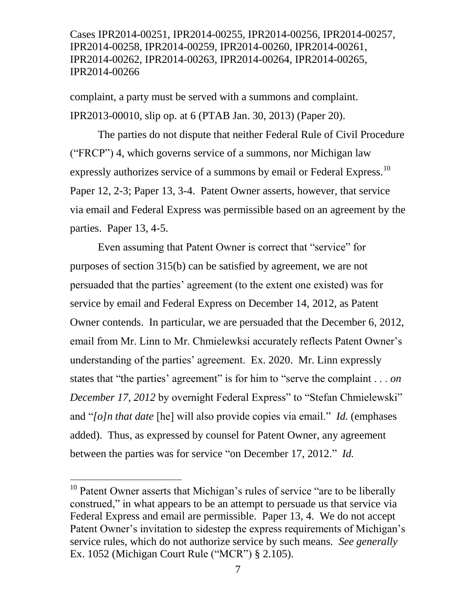complaint, a party must be served with a summons and complaint. IPR2013-00010, slip op. at 6 (PTAB Jan. 30, 2013) (Paper 20).

The parties do not dispute that neither Federal Rule of Civil Procedure ("FRCP") 4, which governs service of a summons, nor Michigan law expressly authorizes service of a summons by email or Federal Express.<sup>10</sup> Paper 12, 2-3; Paper 13, 3-4. Patent Owner asserts, however, that service via email and Federal Express was permissible based on an agreement by the parties. Paper 13, 4-5.

Even assuming that Patent Owner is correct that "service" for purposes of section 315(b) can be satisfied by agreement, we are not persuaded that the parties' agreement (to the extent one existed) was for service by email and Federal Express on December 14, 2012, as Patent Owner contends. In particular, we are persuaded that the December 6, 2012, email from Mr. Linn to Mr. Chmielewksi accurately reflects Patent Owner's understanding of the parties' agreement. Ex. 2020. Mr. Linn expressly states that "the parties" agreement" is for him to "serve the complaint . . . *on December 17, 2012* by overnight Federal Express" to "Stefan Chmielewski" and "*[o]n that date* [he] will also provide copies via email." *Id.* (emphases added). Thus, as expressed by counsel for Patent Owner, any agreement between the parties was for service "on December 17, 2012." *Id.*

l

 $10$  Patent Owner asserts that Michigan's rules of service "are to be liberally construed," in what appears to be an attempt to persuade us that service via Federal Express and email are permissible. Paper 13, 4. We do not accept Patent Owner's invitation to sidestep the express requirements of Michigan's service rules, which do not authorize service by such means. *See generally*  Ex. 1052 (Michigan Court Rule ("MCR") § 2.105).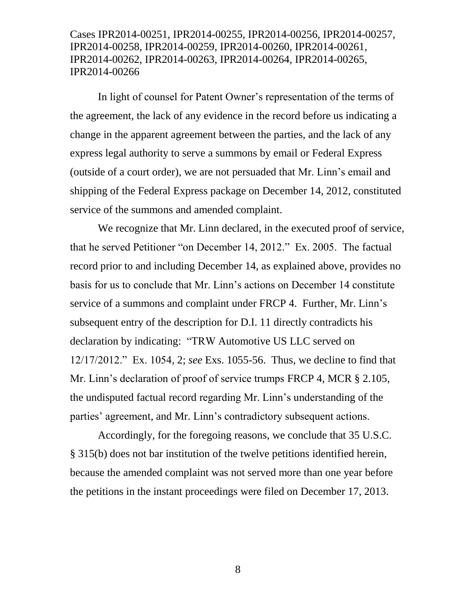In light of counsel for Patent Owner's representation of the terms of the agreement, the lack of any evidence in the record before us indicating a change in the apparent agreement between the parties, and the lack of any express legal authority to serve a summons by email or Federal Express (outside of a court order), we are not persuaded that Mr. Linn's email and shipping of the Federal Express package on December 14, 2012, constituted service of the summons and amended complaint.

We recognize that Mr. Linn declared, in the executed proof of service, that he served Petitioner "on December 14, 2012." Ex. 2005. The factual record prior to and including December 14, as explained above, provides no basis for us to conclude that Mr. Linn's actions on December 14 constitute service of a summons and complaint under FRCP 4. Further, Mr. Linn's subsequent entry of the description for D.I. 11 directly contradicts his declaration by indicating: "TRW Automotive US LLC served on 12/17/2012." Ex. 1054, 2; *see* Exs. 1055-56. Thus, we decline to find that Mr. Linn's declaration of proof of service trumps FRCP 4, MCR § 2.105, the undisputed factual record regarding Mr. Linn's understanding of the parties' agreement, and Mr. Linn's contradictory subsequent actions.

Accordingly, for the foregoing reasons, we conclude that 35 U.S.C. § 315(b) does not bar institution of the twelve petitions identified herein, because the amended complaint was not served more than one year before the petitions in the instant proceedings were filed on December 17, 2013.

8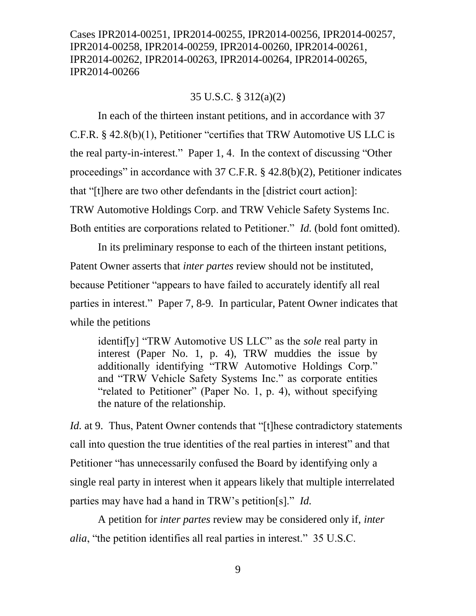### 35 U.S.C. § 312(a)(2)

In each of the thirteen instant petitions, and in accordance with 37 C.F.R. § 42.8(b)(1), Petitioner "certifies that TRW Automotive US LLC is the real party-in-interest." Paper 1, 4. In the context of discussing "Other proceedings" in accordance with 37 C.F.R. § 42.8(b)(2), Petitioner indicates that "[t]here are two other defendants in the [district court action]: TRW Automotive Holdings Corp. and TRW Vehicle Safety Systems Inc. Both entities are corporations related to Petitioner." *Id.* (bold font omitted).

In its preliminary response to each of the thirteen instant petitions, Patent Owner asserts that *inter partes* review should not be instituted, because Petitioner "appears to have failed to accurately identify all real parties in interest." Paper 7, 8-9. In particular, Patent Owner indicates that while the petitions

identif[y] "TRW Automotive US LLC" as the *sole* real party in interest (Paper No. 1, p. 4), TRW muddies the issue by additionally identifying "TRW Automotive Holdings Corp." and "TRW Vehicle Safety Systems Inc." as corporate entities "related to Petitioner" (Paper No. 1, p. 4), without specifying the nature of the relationship.

*Id.* at 9. Thus, Patent Owner contends that "[t]hese contradictory statements call into question the true identities of the real parties in interest" and that Petitioner "has unnecessarily confused the Board by identifying only a single real party in interest when it appears likely that multiple interrelated parties may have had a hand in TRW's petition[s]." *Id.*

A petition for *inter partes* review may be considered only if, *inter alia*, "the petition identifies all real parties in interest." 35 U.S.C.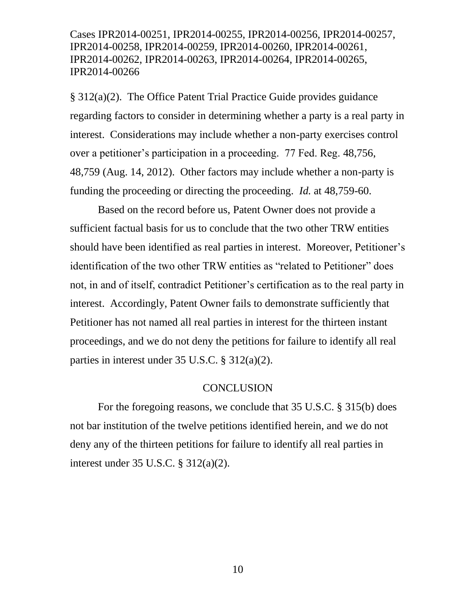§ 312(a)(2). The Office Patent Trial Practice Guide provides guidance regarding factors to consider in determining whether a party is a real party in interest. Considerations may include whether a non-party exercises control over a petitioner's participation in a proceeding. 77 Fed. Reg. 48,756, 48,759 (Aug. 14, 2012). Other factors may include whether a non-party is funding the proceeding or directing the proceeding. *Id.* at 48,759-60.

Based on the record before us, Patent Owner does not provide a sufficient factual basis for us to conclude that the two other TRW entities should have been identified as real parties in interest. Moreover, Petitioner's identification of the two other TRW entities as "related to Petitioner" does not, in and of itself, contradict Petitioner's certification as to the real party in interest. Accordingly, Patent Owner fails to demonstrate sufficiently that Petitioner has not named all real parties in interest for the thirteen instant proceedings, and we do not deny the petitions for failure to identify all real parties in interest under 35 U.S.C. § 312(a)(2).

#### **CONCLUSION**

For the foregoing reasons, we conclude that 35 U.S.C. § 315(b) does not bar institution of the twelve petitions identified herein, and we do not deny any of the thirteen petitions for failure to identify all real parties in interest under 35 U.S.C. § 312(a)(2).